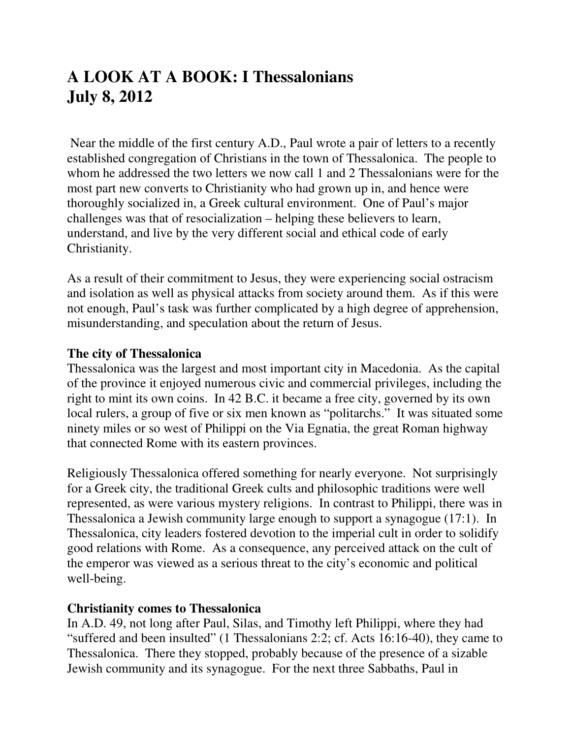# **A LOOK AT A BOOK: I Thessalonians July 8, 2012**

 Near the middle of the first century A.D., Paul wrote a pair of letters to a recently established congregation of Christians in the town of Thessalonica. The people to whom he addressed the two letters we now call 1 and 2 Thessalonians were for the most part new converts to Christianity who had grown up in, and hence were thoroughly socialized in, a Greek cultural environment. One of Paul's major challenges was that of resocialization – helping these believers to learn, understand, and live by the very different social and ethical code of early Christianity.

As a result of their commitment to Jesus, they were experiencing social ostracism and isolation as well as physical attacks from society around them. As if this were not enough, Paul's task was further complicated by a high degree of apprehension, misunderstanding, and speculation about the return of Jesus.

#### **The city of Thessalonica**

Thessalonica was the largest and most important city in Macedonia. As the capital of the province it enjoyed numerous civic and commercial privileges, including the right to mint its own coins. In 42 B.C. it became a free city, governed by its own local rulers, a group of five or six men known as "politarchs." It was situated some ninety miles or so west of Philippi on the Via Egnatia, the great Roman highway that connected Rome with its eastern provinces.

Religiously Thessalonica offered something for nearly everyone. Not surprisingly for a Greek city, the traditional Greek cults and philosophic traditions were well represented, as were various mystery religions. In contrast to Philippi, there was in Thessalonica a Jewish community large enough to support a synagogue (17:1). In Thessalonica, city leaders fostered devotion to the imperial cult in order to solidify good relations with Rome. As a consequence, any perceived attack on the cult of the emperor was viewed as a serious threat to the city's economic and political well-being.

#### **Christianity comes to Thessalonica**

In A.D. 49, not long after Paul, Silas, and Timothy left Philippi, where they had "suffered and been insulted" (1 Thessalonians 2:2; cf. Acts 16:16-40), they came to Thessalonica. There they stopped, probably because of the presence of a sizable Jewish community and its synagogue. For the next three Sabbaths, Paul in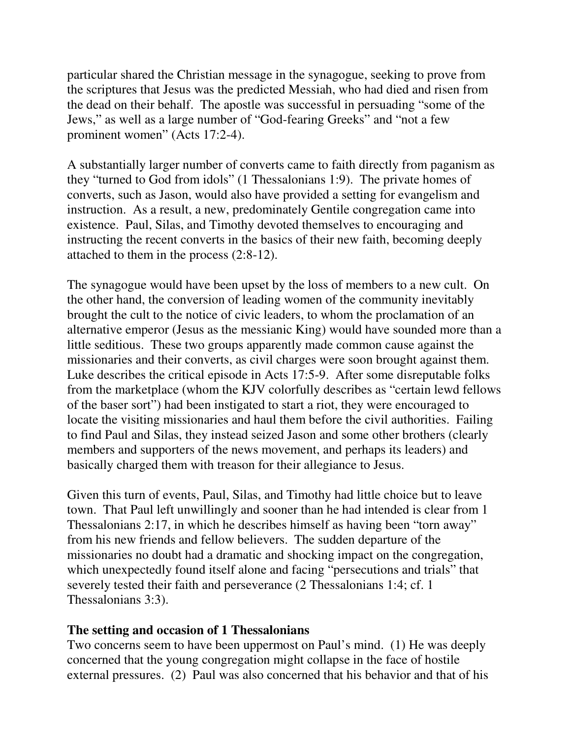particular shared the Christian message in the synagogue, seeking to prove from the scriptures that Jesus was the predicted Messiah, who had died and risen from the dead on their behalf. The apostle was successful in persuading "some of the Jews," as well as a large number of "God-fearing Greeks" and "not a few prominent women" (Acts 17:2-4).

A substantially larger number of converts came to faith directly from paganism as they "turned to God from idols" (1 Thessalonians 1:9). The private homes of converts, such as Jason, would also have provided a setting for evangelism and instruction. As a result, a new, predominately Gentile congregation came into existence. Paul, Silas, and Timothy devoted themselves to encouraging and instructing the recent converts in the basics of their new faith, becoming deeply attached to them in the process (2:8-12).

The synagogue would have been upset by the loss of members to a new cult. On the other hand, the conversion of leading women of the community inevitably brought the cult to the notice of civic leaders, to whom the proclamation of an alternative emperor (Jesus as the messianic King) would have sounded more than a little seditious. These two groups apparently made common cause against the missionaries and their converts, as civil charges were soon brought against them. Luke describes the critical episode in Acts 17:5-9. After some disreputable folks from the marketplace (whom the KJV colorfully describes as "certain lewd fellows of the baser sort") had been instigated to start a riot, they were encouraged to locate the visiting missionaries and haul them before the civil authorities. Failing to find Paul and Silas, they instead seized Jason and some other brothers (clearly members and supporters of the news movement, and perhaps its leaders) and basically charged them with treason for their allegiance to Jesus.

Given this turn of events, Paul, Silas, and Timothy had little choice but to leave town. That Paul left unwillingly and sooner than he had intended is clear from 1 Thessalonians 2:17, in which he describes himself as having been "torn away" from his new friends and fellow believers. The sudden departure of the missionaries no doubt had a dramatic and shocking impact on the congregation, which unexpectedly found itself alone and facing "persecutions and trials" that severely tested their faith and perseverance (2 Thessalonians 1:4; cf. 1 Thessalonians 3:3).

#### **The setting and occasion of 1 Thessalonians**

Two concerns seem to have been uppermost on Paul's mind. (1) He was deeply concerned that the young congregation might collapse in the face of hostile external pressures. (2) Paul was also concerned that his behavior and that of his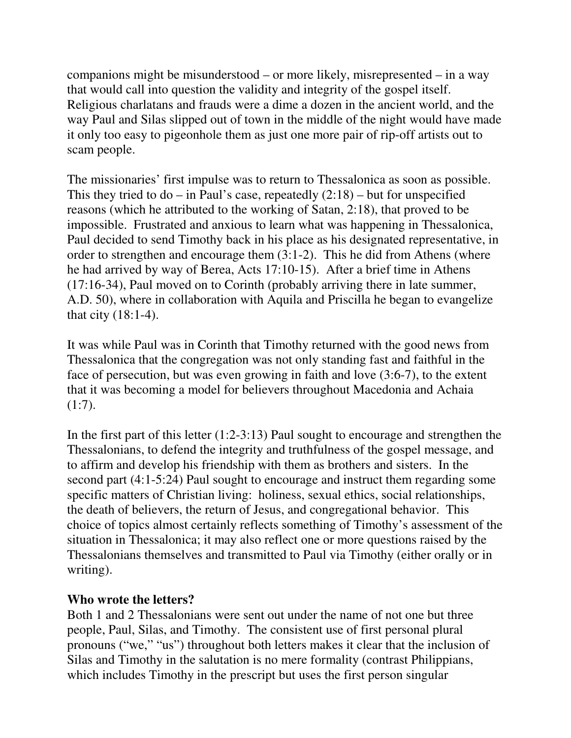companions might be misunderstood – or more likely, misrepresented – in a way that would call into question the validity and integrity of the gospel itself. Religious charlatans and frauds were a dime a dozen in the ancient world, and the way Paul and Silas slipped out of town in the middle of the night would have made it only too easy to pigeonhole them as just one more pair of rip-off artists out to scam people.

The missionaries' first impulse was to return to Thessalonica as soon as possible. This they tried to do – in Paul's case, repeatedly  $(2:18)$  – but for unspecified reasons (which he attributed to the working of Satan, 2:18), that proved to be impossible. Frustrated and anxious to learn what was happening in Thessalonica, Paul decided to send Timothy back in his place as his designated representative, in order to strengthen and encourage them (3:1-2). This he did from Athens (where he had arrived by way of Berea, Acts 17:10-15). After a brief time in Athens (17:16-34), Paul moved on to Corinth (probably arriving there in late summer, A.D. 50), where in collaboration with Aquila and Priscilla he began to evangelize that city (18:1-4).

It was while Paul was in Corinth that Timothy returned with the good news from Thessalonica that the congregation was not only standing fast and faithful in the face of persecution, but was even growing in faith and love (3:6-7), to the extent that it was becoming a model for believers throughout Macedonia and Achaia  $(1:7)$ .

In the first part of this letter (1:2-3:13) Paul sought to encourage and strengthen the Thessalonians, to defend the integrity and truthfulness of the gospel message, and to affirm and develop his friendship with them as brothers and sisters. In the second part (4:1-5:24) Paul sought to encourage and instruct them regarding some specific matters of Christian living: holiness, sexual ethics, social relationships, the death of believers, the return of Jesus, and congregational behavior. This choice of topics almost certainly reflects something of Timothy's assessment of the situation in Thessalonica; it may also reflect one or more questions raised by the Thessalonians themselves and transmitted to Paul via Timothy (either orally or in writing).

## **Who wrote the letters?**

Both 1 and 2 Thessalonians were sent out under the name of not one but three people, Paul, Silas, and Timothy. The consistent use of first personal plural pronouns ("we," "us") throughout both letters makes it clear that the inclusion of Silas and Timothy in the salutation is no mere formality (contrast Philippians, which includes Timothy in the prescript but uses the first person singular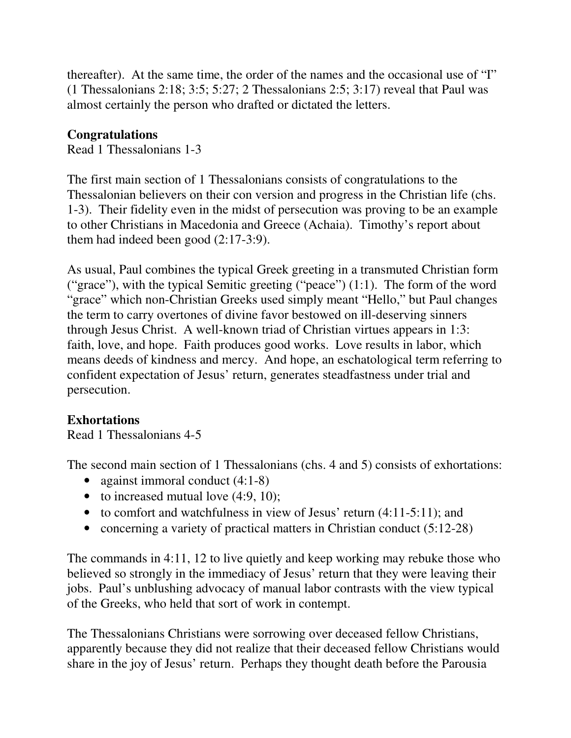thereafter). At the same time, the order of the names and the occasional use of "I" (1 Thessalonians 2:18; 3:5; 5:27; 2 Thessalonians 2:5; 3:17) reveal that Paul was almost certainly the person who drafted or dictated the letters.

# **Congratulations**

Read 1 Thessalonians 1-3

The first main section of 1 Thessalonians consists of congratulations to the Thessalonian believers on their con version and progress in the Christian life (chs. 1-3). Their fidelity even in the midst of persecution was proving to be an example to other Christians in Macedonia and Greece (Achaia). Timothy's report about them had indeed been good (2:17-3:9).

As usual, Paul combines the typical Greek greeting in a transmuted Christian form ("grace"), with the typical Semitic greeting ("peace") (1:1). The form of the word "grace" which non-Christian Greeks used simply meant "Hello," but Paul changes the term to carry overtones of divine favor bestowed on ill-deserving sinners through Jesus Christ. A well-known triad of Christian virtues appears in 1:3: faith, love, and hope. Faith produces good works. Love results in labor, which means deeds of kindness and mercy. And hope, an eschatological term referring to confident expectation of Jesus' return, generates steadfastness under trial and persecution.

## **Exhortations**

Read 1 Thessalonians 4-5

The second main section of 1 Thessalonians (chs. 4 and 5) consists of exhortations:

- against immoral conduct  $(4:1-8)$
- to increased mutual love (4:9, 10);
- to comfort and watchfulness in view of Jesus' return  $(4:11-5:11)$ ; and
- concerning a variety of practical matters in Christian conduct (5:12-28)

The commands in 4:11, 12 to live quietly and keep working may rebuke those who believed so strongly in the immediacy of Jesus' return that they were leaving their jobs. Paul's unblushing advocacy of manual labor contrasts with the view typical of the Greeks, who held that sort of work in contempt.

The Thessalonians Christians were sorrowing over deceased fellow Christians, apparently because they did not realize that their deceased fellow Christians would share in the joy of Jesus' return. Perhaps they thought death before the Parousia